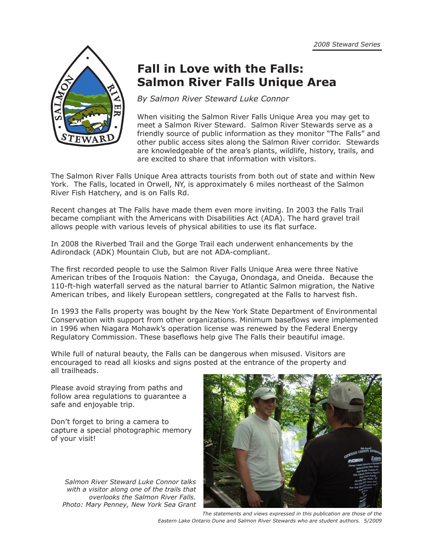

# **Fall in Love with the Falls: Salmon River Falls Unique Area**

*By Salmon River Steward Luke Connor*

When visiting the Salmon River Falls Unique Area you may get to meet a Salmon River Steward. Salmon River Stewards serve as a friendly source of public information as they monitor "The Falls" and other public access sites along the Salmon River corridor. Stewards are knowledgeable of the area's plants, wildlife, history, trails, and are excited to share that information with visitors.

The Salmon River Falls Unique Area attracts tourists from both out of state and within New York. The Falls, located in Orwell, NY, is approximately 6 miles northeast of the Salmon River Fish Hatchery, and is on Falls Rd.

Recent changes at The Falls have made them even more inviting. In 2003 the Falls Trail became compliant with the Americans with Disabilities Act (ADA). The hard gravel trail allows people with various levels of physical abilities to use its flat surface.

In 2008 the Riverbed Trail and the Gorge Trail each underwent enhancements by the Adirondack (ADK) Mountain Club, but are not ADA-compliant.

The first recorded people to use the Salmon River Falls Unique Area were three Native American tribes of the Iroquois Nation: the Cayuga, Onondaga, and Oneida. Because the 110-ft-high waterfall served as the natural barrier to Atlantic Salmon migration, the Native American tribes, and likely European settlers, congregated at the Falls to harvest fish.

In 1993 the Falls property was bought by the New York State Department of Environmental Conservation with support from other organizations. Minimum baseflows were implemented in 1996 when Niagara Mohawk's operation license was renewed by the Federal Energy Regulatory Commission. These baseflows help give The Falls their beautiful image.

While full of natural beauty, the Falls can be dangerous when misused. Visitors are encouraged to read all kiosks and signs posted at the entrance of the property and all trailheads.

Please avoid straying from paths and follow area regulations to guarantee a safe and enjoyable trip.

Don't forget to bring a camera to capture a special photographic memory of your visit!

*Salmon River Steward Luke Connor talks with a visitor along one of the trails that overlooks the Salmon River Falls. Photo: Mary Penney, New York Sea Grant*



*The statements and views expressed in this publication are those of the Eastern Lake Ontario Dune and Salmon River Stewards who are student authors. 5/2009*